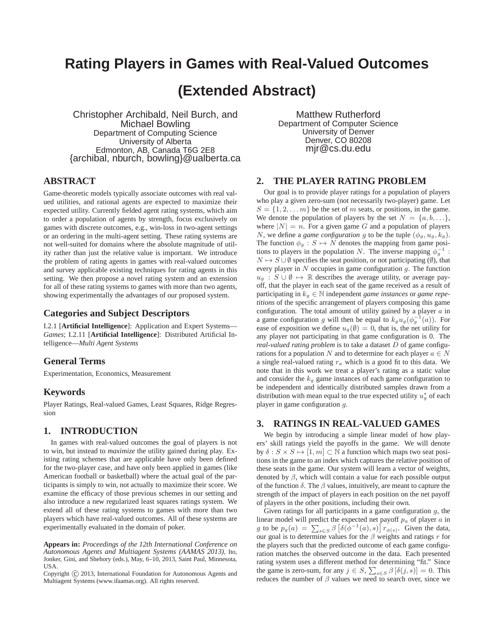# **Rating Players in Games with Real-Valued Outcomes**

# **(Extended Abstract)**

Christopher Archibald, Neil Burch, and Michael Bowling Department of Computing Science University of Alberta Edmonton, AB, Canada T6G 2E8 {archibal, nburch, bowling}@ualberta.ca

Matthew Rutherford Department of Computer Science University of Denver Denver, CO 80208 mjr@cs.du.edu

## **ABSTRACT**

Game-theoretic models typically associate outcomes with real valued utilities, and rational agents are expected to maximize their expected utility. Currently fielded agent rating systems, which aim to order a population of agents by strength, focus exclusively on games with discrete outcomes, e.g., win-loss in two-agent settings or an ordering in the multi-agent setting. These rating systems are not well-suited for domains where the absolute magnitude of utility rather than just the relative value is important. We introduce the problem of rating agents in games with real-valued outcomes and survey applicable existing techniques for rating agents in this setting. We then propose a novel rating system and an extension for all of these rating systems to games with more than two agents, showing experimentally the advantages of our proposed system.

#### **Categories and Subject Descriptors**

I.2.1 [**Artificial Intelligence**]: Application and Expert Systems— *Games*; I.2.11 [**Artificial Intelligence**]: Distributed Artificial Intelligence—*Multi Agent Systems*

#### **General Terms**

Experimentation, Economics, Measurement

#### **Keywords**

Player Ratings, Real-valued Games, Least Squares, Ridge Regression

## **1. INTRODUCTION**

In games with real-valued outcomes the goal of players is not to win, but instead to *maximize* the utility gained during play. Existing rating schemes that are applicable have only been defined for the two-player case, and have only been applied in games (like American football or basketball) where the actual goal of the participants is simply to win, not actually to maximize their score. We examine the efficacy of those previous schemes in our setting and also introduce a new regularized least squares ratings system. We extend all of these rating systems to games with more than two players which have real-valued outcomes. All of these systems are experimentally evaluated in the domain of poker.

**Appears in:** *Proceedings of the 12th International Conference on Autonomous Agents and Multiagent Systems (AAMAS 2013)*, Ito, Jonker, Gini, and Shehory (eds.), May, 6–10, 2013, Saint Paul, Minnesota, USA.

Copyright (C) 2013, International Foundation for Autonomous Agents and Multiagent Systems (www.ifaamas.org). All rights reserved.

## **2. THE PLAYER RATING PROBLEM**

Our goal is to provide player ratings for a population of players who play a given zero-sum (not necessarily two-player) game. Let  $S = \{1, 2, \dots m\}$  be the set of m seats, or positions, in the game. We denote the population of players by the set  $N = \{a, b, \ldots\},\$ where  $|N| = n$ . For a given game G and a population of players N, we define a *game configuration* g to be the tuple  $(\phi_q, u_q, k_q)$ . The function  $\phi_q : S \mapsto N$  denotes the mapping from game positions to players in the population N. The inverse mapping  $\phi_g^{-1}$ :  $N \mapsto S \cup \emptyset$  specifies the seat position, or not participating ( $\emptyset$ ), that every player in  $N$  occupies in game configuration  $g$ . The function  $u_g : S \cup \emptyset \mapsto \mathbb{R}$  describes the average utility, or average payoff, that the player in each seat of the game received as a result of participating in  $k_g \in \mathbb{N}$  independent *game instances* or *game repetitions* of the specific arrangement of players composing this game configuration. The total amount of utility gained by a player  $a$  in a game configuration g will then be equal to  $k_g u_g(\phi_g^{-1}(a))$ . For ease of exposition we define  $u_g(\emptyset) = 0$ , that is, the net utility for any player not participating in that game configuration is 0. The *real-valued rating problem* is to take a dataset D of game configurations for a population N and to determine for each player  $a \in N$ a single real-valued rating  $r_a$  which is a good fit to this data. We note that in this work we treat a player's rating as a static value and consider the  $k_q$  game instances of each game configuration to be independent and identically distributed samples drawn from a distribution with mean equal to the true expected utility  $u_g^*$  of each player in game configuration g.

## **3. RATINGS IN REAL-VALUED GAMES**

We begin by introducing a simple linear model of how players' skill ratings yield the payoffs in the game. We will denote by  $\delta : S \times S \mapsto [1, m] \subset \mathbb{N}$  a function which maps two seat positions in the game to an index which captures the relative position of these seats in the game. Our system will learn a vector of weights, denoted by  $\beta$ , which will contain a value for each possible output of the function  $\delta$ . The  $\beta$  values, intuitively, are meant to capture the strength of the impact of players in each position on the net payoff of players in the other positions, including their own.

Given ratings for all participants in a game configuration  $q$ , the linear model will predict the expected net payoff  $p_a$  of player  $a$  in g to be  $p_g(a) = \sum_{s \in S} \beta \left[ \delta(\phi^{-1}(a), s) \right] r_{\phi(s)}$ . Given the data, our goal is to determine values for the  $\beta$  weights and ratings r for the players such that the predicted outcome of each game configuration matches the observed outcome in the data. Each presented rating system uses a different method for determining "fit." Since the game is zero-sum, for any  $j \in S$ ,  $\sum_{s \in S} \beta [\delta(j, s)] = 0$ . This reduces the number of  $\beta$  values we need to search over, since we